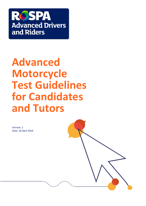

# **Advanced Motorcycle Test Guidelines for Candidates and Tutors**

Version: 1 Date: 18 April 2016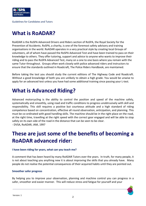

# **What is RoADAR?**

RoADAR is the RoSPA Advanced Drivers and Riders section of RoSPA, the Royal Society for the Prevention of Accidents. RoSPA, a charity, is one of the foremost safety advisory and training organisations in the world. RoADAR operates in a very practical style by creating local Groups of volunteers, all of whom have passed the RoSPA Advanced Test and have been trained to pass on their knowledge to others. They offer tutoring, support and advice to anyone who wants to improve their riding and to pass the RoSPA Advanced Test, many on a one to one basis where you remain with the same Tutor throughout. Groups often work closely with police advanced riders and instructors to ensure that the standards outlined in Roadcraft*,* The Police Riders Handbook, are maintained.

Before taking the test you should study the current editions of The Highway Code and Roadcraft*.*  Without a good knowledge of both you are unlikely to obtain a high grade. You would be unwise to apply for an advanced test unless you have had some additional training since passing your L-test.

# **What is Advanced Riding?**

Advanced motorcycling is the ability to control the position and speed of the machine safely, systematically and smoothly, using road and traffic conditions to progress unobtrusively with skill and responsibility. This skill requires a positive but courteous attitude and a high standard of riding competence based on concentration, effective all round observation, anticipation, and planning. This must be co-ordinated with good handling skills. The machine should be in the right place on the road, at the right time, travelling at the right speed with the correct gear engaged and will be able to stop safely on its own side of the road in the distance that can be seen to be clear. - DVSA, RoADAR, IAM, 1997

# **These are just some of the benefits of becoming a RoADAR advanced rider:**

# **I have been riding for years, what can you teach me?**

A comment that has been heard by many RoADAR Tutors over the years. In truth, for many people, it is not about teaching you anything new it is about improving the skills that you already have. Many people do not realise the potential consequences of their acquired habits until they are pointed out.

# **Smoother safer progress**

By helping you to improve your observation, planning and machine control you can progress in a safer, smoother and easier manner. This will reduce stress and fatigue for yourself and your

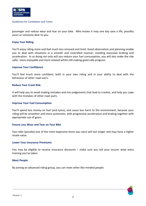

passenger and reduce wear and tear on your bike. Who knows it may one day save a life, possibly yours or someone dear to you.

#### **Enjoy Your Riding**

You'll enjoy riding more and feel much less stressed and tired. Good observation and planning enable you to deal with situations in a smooth and controlled manner, avoiding excessive braking and acceleration. In so doing not only will you reduce your fuel consumption, you will also make the ride safer, more enjoyable and more relaxed whilst still making good safe progress.

#### **Improve Your Confidence**

You'll feel much more confident, both in your own riding and in your ability to deal with the behaviour of other road users.

#### **Reduce Your Crash Risk**

It will help you to avoid making mistakes and mis-judgements that lead to crashes, and help you cope with the mistakes of other road users.

#### **Improve Your Fuel Consumption**

You'll spend less money on fuel (and tyres), and cause less harm to the environment, because your riding will be smoother and more systematic, with progressive acceleration and braking together with appropriate use of gears.

#### **Ensure Less Wear and Tear on Your Bike**

Your bike (possibly one of the most expensive items you own) will last longer and may have a higher resale value.

#### **Lower Your Insurance Premiums**

You may be eligible to receive insurance discounts – make sure you tell your insurer what extra training you've taken.

#### **Meet People**

By joining an advanced riding group, you can meet other like-minded people.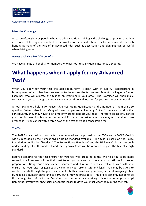

# **Meet the Challenge**

A reason often given by people who take advanced rider training is the challenge of proving that they are a rider of the highest standard. Some want a formal qualification, which can be useful when job hunting as many of the skills of an advanced rider, such as observation and planning, can be useful when driving a car.

# **Access exclusive RoADAR benefits**

We have a range of benefits for members who pass our test, including insurance discounts.

# **What happens when I apply for my Advanced Test?**

When you apply for your test the application form is dealt with at RoSPA Headquarters in Birmingham. When it has been entered onto the system the test request is sent to a Regional Senior Examiner who will allocate the test to an Examiner in your area. The Examiner will then make contact with you to arrange a mutually convenient time and location for your test to be conducted.

All our Examiners hold a UK Police Advanced Riding qualification and a number of them are also qualified Police Instructors. Many of these people are still serving Police Officers and work shifts, consequently they may have taken time off work to conduct your test. Therefore please only cancel your test in unavoidable circumstances and if it is at the last moment we may not be able to rearrange it. If you cancel within three days of the test there is a cancellation fee.

# **The Test**

The RoSPA advanced motorcycle test is monitored and approved by the DVSA and a RoSPA Gold is widely regarded as the highest civilian riding standard available. The test is based on the Police Foundation publication 'Roadcraft The Police Riders Handbook' and the Highway Code. A thorough understanding of both Roadcraft and the Highway Code will be required to pass the test at a high standard.

Before attending for the test ensure that you feel well prepared as this will help you to be more relaxed, the Examiner will do their best to set you at ease but there is no substitute for proper preparation. Bring your riding licence, insurance and, if required, vehicle test certificate with you, ensure that your visor or goggles are clean and your bike is safe and legal. You may be asked to conduct or talk through the pre ride checks for both yourself and your bike, carryout an eyesight test by reading a number plate, and to carry out a moving brake test. This brake test only needs to be firm enough to confirm to the Examiner that the brakes are working, it is not an emergency stop! Remember if you wear spectacles or contact lenses to drive you must wear them during the test.

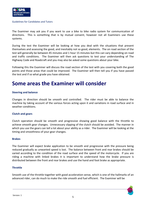

The Examiner may ask you if you want to use a bike to bike radio system for communication of directions. This is something that is by mutual consent, however not all Examiners use these systems.

During the test the Examiner will be looking at how you deal with the situations that present themselves and assessing the good, and inevitably not so good, elements. The on road section of the test will generally be between 45 minutes and 1 hour 15 minutes but this can vary depending on road and traffic conditions. The Examiner will then ask questions to test your understanding of The Highway Code and Roadcraft and you may also be asked some questions about your bike.

Following this the Examiner will discuss the road section of the test with you covering both the good points and those areas that could be improved. The Examiner will then tell you if you have passed the test and if so what grade you have obtained.

# **Some areas the Examiner will consider**

### **Steering and balance**

Changes in direction should be smooth and controlled. The rider must be able to balance the machine by taking account of the various forces acting upon it and variations in road surface and in weather conditions.

### **Clutch and gears**

Clutch operation should be smooth and progressive showing good balance with the throttle to achieve smooth gear changes. Unnecessary slipping of the clutch should be avoided. The manner in which you use the gears can tell a lot about your ability as a rider. The Examiner will be looking at the timing and smoothness of your gear changes.

### **Brakes**

The Examiner will expect brake application to be smooth and progressive with the pressure being reduced gradually as unwanted speed is lost. The balance between front and rear brakes should be varied according to the condition of the road surface and the speed of the motorcycle. If you are riding a machine with linked brakes it is important to understand how the brake pressure is distributed between the front and rear brakes and use the hand and foot brake as appropriate.

### **Throttle**

Smooth use of the throttle together with good acceleration sense, which is one of the hallmarks of an advanced rider, can do much to make the ride smooth and fuel efficient. The Examiner will be

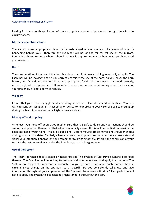

looking for the smooth application of the appropriate amount of power at the right time for the circumstances.

### **Mirrors / rear observations**

You cannot make appropriate plans for hazards ahead unless you are fully aware of what is happening behind you. Therefore the Examiner will be looking for correct use of the mirrors. Remember there are times when a shoulder check is required no matter how much you have used your mirrors.

### **Horn**

The consideration of the use of the horn is as important in Advanced riding as actually using it. The Examiner will be looking to see if you correctly consider the use of the horn, do you cover the horn button, and if you do use the horn is that use appropriate for the circumstances. Is it timed correctly, is the length of use appropriate? Remember the horn is a means of informing other road users of your presence, it is not a form of rebuke.

# **Visibility**

Ensure that your visor or goggles and any fairing screens are clear at the start of the test. You may want to consider using an anti mist spray or device to help prevent your visor or goggles misting up during the test. Also ensure that all light lenses are clean.

### **Moving off and stopping**

Whenever you move off or stop you must ensure that it is safe to do so and your actions should be smooth and precise. Remember that when you initially move off this will be the first impression the Examiner has of your riding. Make it a good one. Before moving off do mirror and shoulder checks and signal as appropriate. Similarly when you intend to stop, ensure that you check mirrors etc and signal your intention if appropriate and remember to brake smoothly. If this is the conclusion of your test it is the last impression you give the Examiner, so make it a good one.

### **Use of the System**

The RoSPA advanced test is based on Roadcraft and The System of Motorcycle Control described therein. The Examiner will be looking to see how well you understand and apply the phases of The System, are they well timed and appropriate, do you go back to an appropriate earlier phase if circumstances change on the approach to a hazard? Do you consistently take, use and give information throughout your application of The System? To achieve a Gold or Silver grade you will have to apply The System to a consistently high standard throughout the test.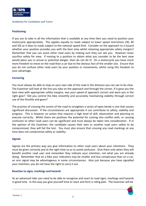

# **Positioning**

If you are to take in all the information that is available at any time then you need to position your motorcycle appropriately. This applies equally to roads subject to lower speed restrictions (30, 40 and 50) as it does to roads subject to the national speed limit. Consider on the approach to a hazard whether your position provides you with the best view whilst retaining appropriate safety margins? Remember that you can assist other road users by making sure they can see you. However never sacrifice safety for view. If moving to a position to obtain what you consider to be the best view would place you in actual or potential danger, then do not do it! On a motorcycle you have much more freedom to move on the road than a car due to the obvious fact of the smaller size. Ensure that you do not confuse other road users by your position or movements, whilst using this freedom to your advantage.

# **Cornering**

You must always be able to stop on your own side of the road in the distance you can see to be clear. The Examiner will look at the line you take on the approach and through the corner, if it gave you the best view with appropriate safety margins, was your speed of approach correct and were you in the right gear? Did you control the bike smoothly and accurately maintaining stability through correct use of the throttle and gears?

The practice of crossing the centre of the road to straighten a series of open bends is one that causes significant discussion. If the circumstances are appropriate it can contribute to safety, stability and progress. This is however an action that requires a high level of skill, observation and planning to execute correctly. Whilst there are positives the potential for coming into conflict with, or causing confusion to other road users can be significant and must always be taken into consideration. If in the opinion of the Examiner, the candidate causes their own or another road users safety to be compromised, they will fail the test. You must also ensure that crossing any road markings at any time does not compromise safety or stability.

### **Signals**

Signals are the primary way you give information to other road users about your intentions. They must be given correctly and at the right time so as to avoid confusion. Give them only when they will benefit another road user and remember they indicate your intention, not what you are already doing. Remember that on a bike your indicators may be smaller and less conspicuous than on a car, an arm signal may be advantageous in some circumstances. Also just because you have signalled your intention, you do not have the right to carry it out.

### **Reaction to signs, markings and hazards**

As an advanced rider you need to be able to recognise and react to road signs, markings and hazards in good time. In this way you give yourself time to react and form a riding plan. The Examiner will be

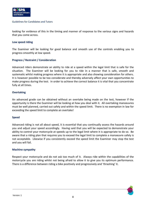

looking for evidence of this in the timing and manner of response to the various signs and hazards that you come across.

#### **Low speed riding**

The Examiner will be looking for good balance and smooth use of the controls enabling you to progress smoothly at low speed.

### **Progress / Restraint / Consideration**

Advanced riders demonstrate an ability to ride at a speed within the legal limit that is safe for the situation. The Examiner will be looking for you to ride in a manner that is safe, smooth and systematic whilst making progress where it is appropriate and also showing consideration for others. It is however possible to be too considerate and thereby adversely affect your own opportunities to make progress during the test. In order to achieve the correct balance it is vital that you concentrate fully at all times.

### **Overtaking**

An advanced grade can be obtained without an overtake being made on the test, however if the opportunity is there the Examiner will be looking at how you deal with it. All overtaking manoeuvres must be well planned, carried out safely and within the speed limit. There is no exemption in law for exceeding the speed limit to complete an overtake!

### **Speed**

Advanced riding is not all about speed, it is essential that you continually assess the hazards around you and adjust your speed accordingly. Having said that you will be expected to demonstrate your ability to control your motorcycle at speeds up to the legal limit where it is appropriate to do so. Be aware that a riding plan that requires you to exceed the legal limit to complete a manoeuvre safely is not acceptable. Likewise if you consistently exceed the speed limit the Examiner may stop the test and you will fail.

### **Machine sympathy**

Respect your motorcycle and do not ask too much of it. Always ride within the capabilities of the motorcycle you are riding whilst not being afraid to allow it to give you its optimum performance. There is a difference between riding a bike positively and progressively and 'thrashing' it.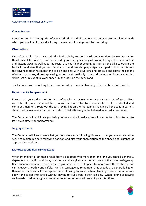

### **Concentration**

Concentration is a prerequisite of advanced riding and distractions are an ever present element with which you must deal whilst displaying a calm controlled approach to your riding.

### **Observations**

One of the skills of an advanced rider is the ability to see hazards and situations developing earlier than lesser skilled riders. This is achieved by constantly scanning all around taking in the near, middle and distant views as well as to the rear. Use your higher seating position on the bike to obtain the best all round view that you can. Smell and sound can also play a significant part in this. In this way the advanced rider has more time to plan and deal with situations and can also anticipate the actions of other road users, almost appearing to do so automatically. Like positioning mentioned earlier this skill is just as relevant in lower speed limits as it is on the open road.

The Examiner will be looking to see how and when you react to changes in conditions and hazards.

# **Deportment / Temperament**

Ensure that your riding position is comfortable and allows you easy access to all of your bike's controls. If you are comfortable you will be more able to demonstrate a calm controlled and confident manner throughout the test. Lying flat on the fuel tank or hanging off the seat in corners should not be necessary for the road rider. Quiet efficiency is the hallmark of an advanced rider.

The Examiner will anticipate you being nervous and will make some allowances for this so try not to let nerves affect your performance.

### **Judging distance**

The Examiner will look to see what you consider a safe following distance. How you use acceleration sense to maintain a safe following position and also your appreciation of the speed and distance of approaching vehicles.

### **Motorways and dual carriageways**

When intending to join these roads from a slip road with more than one lane you should generally, dependent on traffic conditions, use the one which gives you the best view of the main carriageway. Use this view and acceleration sense to give you the correct speed to merge with the traffic on that carriageway smoothly and safely. On the carriageway remember that speeds are generally higher than other roads and allow an appropriate following distance. When planning to leave the motorway allow time to get into lane 1 without having to 'cut across' other vehicles. When joining or leaving such roads consider a signal as required to inform other road users of your intentions.

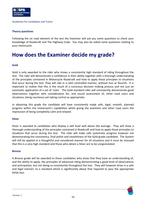

# **Theory questions**

Following the on road element of the test the Examiner will ask you some questions to check your knowledge of Roadcraft and The Highway Code. You may also be asked some questions relating to your motorcycle.

# **How does the Examiner decide my grade?**

# **Gold**

Gold is only awarded to the rider who shows a consistently high standard of riding throughout the test. The rider will demonstrate a confidence in their ability together with a thorough understanding of the principles contained in Motorcycle Roadcraft and how to apply those principles to situations that occur during the test. They will ride in a calm controlled manner, without fuss or flourish. It is important to realise that this is the result of a conscious decision making process and not just an automatic application of a set of 'rules'. The Gold standard rider will consistently demonstrate good observations together with consideration for, and sound assessment of, other road users and situations, being courteous yet taking control as appropriate.

In obtaining this grade the candidate will have consistently made safe, legal, smooth, planned progress within the motorcycle's capabilities whilst giving the examiner and other road users the impression of being completely calm and relaxed.

### **Silver**

Silver is awarded to candidates who display a skill level well above the average. They will show a thorough understanding of the principles contained in Roadcraft and how to apply those principles to situations that occur during the test. The rider will make safe systematic progress however not demonstrating the consistency, final polish and smoothness of the Gold grade candidate. The System will still be applied in a thoughtful and considered manner for all situations and it must be stressed that this is a very high standard and those who obtain a Silver are to be congratulated.

### **Bronze**

A Bronze grade will be awarded to those candidates who show that they have an understanding of, and the ability to apply, the principles of advanced riding demonstrating a good level of observations and anticipation, but not doing so consistently throughout the test. They will however drive in a safe and legal manner, to a standard which is significantly above that required to pass the appropriate DVSA test.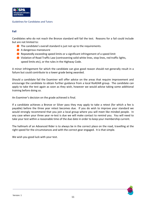### **Fail**

Candidates who do not reach the Bronze standard will fail the test. Reasons for a fail could include but are not limited to:

- The candidate's overall standard is just not up to the requirements.
- A dangerous manoeuvre
- **Repeatedly exceeding speed limits or a significant infringement of a speed limit**
- Violation of Road Traffic Law (contravening solid white lines, stop lines, red traffic lights, speed limits etc), or the rules in the Highway Code.

A minor infringement for which the candidate can give good reason should not generally result in a failure but could contribute to a lower grade being awarded.

Should a candidate fail the Examiner will offer advice on the areas that require improvement and encourage the candidate to obtain further guidance from a local RoADAR group. The candidate can apply to take the test again as soon as they wish, however we would advise taking some additional training before doing so.

An Examiner's decision on the grade achieved is final.

If a candidate achieves a Bronze or Silver pass they may apply to take a retest (for which a fee is payable) before the three year retest becomes due. If you do wish to improve your standard we would strongly recommend that you join a local group where you will meet like minded people. In any case when your three year re-test is due we will make contact to remind you. You will need to take your test within a reasonable time of the due date in order to keep your membership current.

The hallmark of an Advanced Rider is to always be in the correct place on the road, travelling at the right speed for the circumstances and with the correct gear engaged. It is that simple.

We wish you good luck with your test.